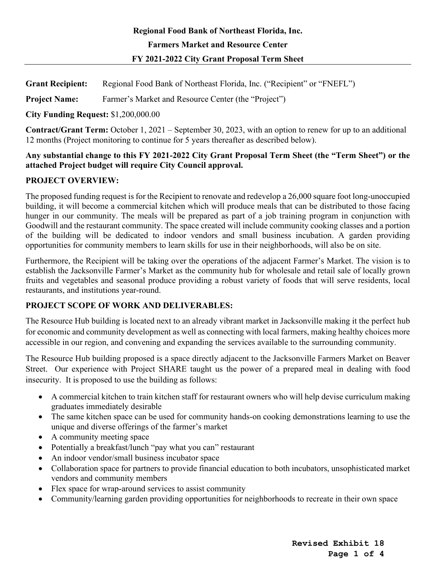# **Regional Food Bank of Northeast Florida, Inc. Farmers Market and Resource Center FY 2021-2022 City Grant Proposal Term Sheet**

**Grant Recipient:** Regional Food Bank of Northeast Florida, Inc. ("Recipient" or "FNEFL")

**Project Name:** Farmer's Market and Resource Center (the "Project")

**City Funding Request:** \$1,200,000.00

**Contract/Grant Term:** October 1, 2021 – September 30, 2023, with an option to renew for up to an additional 12 months (Project monitoring to continue for 5 years thereafter as described below).

#### **Any substantial change to this FY 2021-2022 City Grant Proposal Term Sheet (the "Term Sheet") or the attached Project budget will require City Council approval.**

### **PROJECT OVERVIEW:**

The proposed funding request is for the Recipient to renovate and redevelop a 26,000 square foot long-unoccupied building, it will become a commercial kitchen which will produce meals that can be distributed to those facing hunger in our community. The meals will be prepared as part of a job training program in conjunction with Goodwill and the restaurant community. The space created will include community cooking classes and a portion of the building will be dedicated to indoor vendors and small business incubation. A garden providing opportunities for community members to learn skills for use in their neighborhoods, will also be on site.

Furthermore, the Recipient will be taking over the operations of the adjacent Farmer's Market. The vision is to establish the Jacksonville Farmer's Market as the community hub for wholesale and retail sale of locally grown fruits and vegetables and seasonal produce providing a robust variety of foods that will serve residents, local restaurants, and institutions year-round.

## **PROJECT SCOPE OF WORK AND DELIVERABLES:**

The Resource Hub building is located next to an already vibrant market in Jacksonville making it the perfect hub for economic and community development as well as connecting with local farmers, making healthy choices more accessible in our region, and convening and expanding the services available to the surrounding community.

The Resource Hub building proposed is a space directly adjacent to the Jacksonville Farmers Market on Beaver Street. Our experience with Project SHARE taught us the power of a prepared meal in dealing with food insecurity. It is proposed to use the building as follows:

- A commercial kitchen to train kitchen staff for restaurant owners who will help devise curriculum making graduates immediately desirable
- The same kitchen space can be used for community hands-on cooking demonstrations learning to use the unique and diverse offerings of the farmer's market
- A community meeting space
- Potentially a breakfast/lunch "pay what you can" restaurant
- An indoor vendor/small business incubator space
- Collaboration space for partners to provide financial education to both incubators, unsophisticated market vendors and community members
- Flex space for wrap-around services to assist community
- Community/learning garden providing opportunities for neighborhoods to recreate in their own space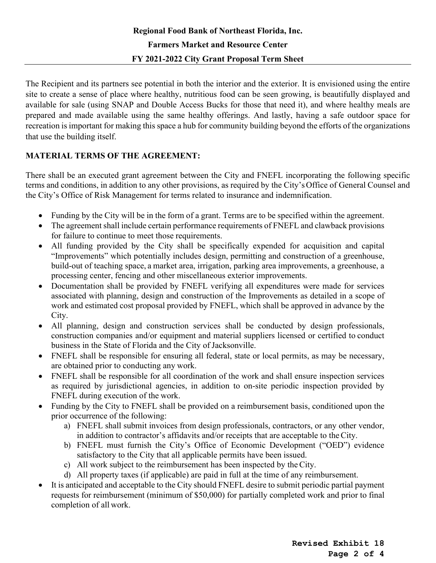The Recipient and its partners see potential in both the interior and the exterior. It is envisioned using the entire site to create a sense of place where healthy, nutritious food can be seen growing, is beautifully displayed and available for sale (using SNAP and Double Access Bucks for those that need it), and where healthy meals are prepared and made available using the same healthy offerings. And lastly, having a safe outdoor space for recreation is important for making this space a hub for community building beyond the efforts of the organizations that use the building itself.

### **MATERIAL TERMS OF THE AGREEMENT:**

There shall be an executed grant agreement between the City and FNEFL incorporating the following specific terms and conditions, in addition to any other provisions, as required by the City'sOffice of General Counsel and the City's Office of Risk Management for terms related to insurance and indemnification.

- Funding by the City will be in the form of a grant. Terms are to be specified within the agreement.
- The agreement shall include certain performance requirements of FNEFL and clawback provisions for failure to continue to meet those requirements.
- All funding provided by the City shall be specifically expended for acquisition and capital "Improvements" which potentially includes design, permitting and construction of a greenhouse, build-out of teaching space, a market area, irrigation, parking area improvements, a greenhouse, a processing center, fencing and other miscellaneous exterior improvements.
- Documentation shall be provided by FNEFL verifying all expenditures were made for services associated with planning, design and construction of the Improvements as detailed in a scope of work and estimated cost proposal provided by FNEFL, which shall be approved in advance by the City.
- All planning, design and construction services shall be conducted by design professionals, construction companies and/or equipment and material suppliers licensed or certified to conduct business in the State of Florida and the City of Jacksonville.
- FNEFL shall be responsible for ensuring all federal, state or local permits, as may be necessary, are obtained prior to conducting any work.
- FNEFL shall be responsible for all coordination of the work and shall ensure inspection services as required by jurisdictional agencies, in addition to on-site periodic inspection provided by FNEFL during execution of the work.
- Funding by the City to FNEFL shall be provided on a reimbursement basis, conditioned upon the prior occurrence of the following:
	- a) FNEFL shall submit invoices from design professionals, contractors, or any other vendor, in addition to contractor's affidavits and/or receipts that are acceptable to the City.
	- b) FNEFL must furnish the City's Office of Economic Development ("OED") evidence satisfactory to the City that all applicable permits have been issued.
	- c) All work subject to the reimbursement has been inspected by the City.
	- d) All property taxes (if applicable) are paid in full at the time of any reimbursement.
- It is anticipated and acceptable to the City should FNEFL desire to submit periodic partial payment requests for reimbursement (minimum of \$50,000) for partially completed work and prior to final completion of all work.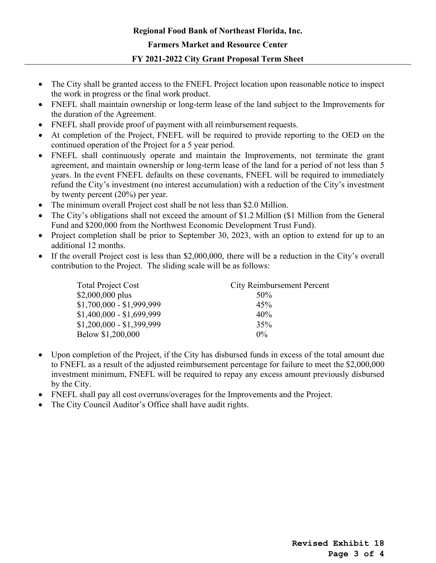# **Regional Food Bank of Northeast Florida, Inc. Farmers Market and Resource Center FY 2021-2022 City Grant Proposal Term Sheet**

- The City shall be granted access to the FNEFL Project location upon reasonable notice to inspect the work in progress or the final work product.
- FNEFL shall maintain ownership or long-term lease of the land subject to the Improvements for the duration of the Agreement.
- FNEFL shall provide proof of payment with all reimbursement requests.
- At completion of the Project, FNEFL will be required to provide reporting to the OED on the continued operation of the Project for a 5 year period.
- FNEFL shall continuously operate and maintain the Improvements, not terminate the grant agreement, and maintain ownership or long-term lease of the land for a period of not less than 5 years. In the event FNEFL defaults on these covenants, FNEFL will be required to immediately refund the City's investment (no interest accumulation) with a reduction of the City's investment by twenty percent (20%) per year.
- The minimum overall Project cost shall be not less than \$2.0 Million.
- The City's obligations shall not exceed the amount of \$1.2 Million (\$1 Million from the General Fund and \$200,000 from the Northwest Economic Development Trust Fund).
- Project completion shall be prior to September 30, 2023, with an option to extend for up to an additional 12 months.
- If the overall Project cost is less than \$2,000,000, there will be a reduction in the City's overall contribution to the Project. The sliding scale will be as follows:

| <b>Total Project Cost</b> | <b>City Reimbursement Percent</b> |
|---------------------------|-----------------------------------|
| $$2,000,000$ plus         | 50%                               |
| $$1,700,000 - $1,999,999$ | 45%                               |
| $$1,400,000 - $1,699,999$ | 40%                               |
| $$1,200,000 - $1,399,999$ | 35%                               |
| Below \$1,200,000         | $0\%$                             |

- Upon completion of the Project, if the City has disbursed funds in excess of the total amount due to FNEFL as a result of the adjusted reimbursement percentage for failure to meet the \$2,000,000 investment minimum, FNEFL will be required to repay any excess amount previously disbursed by the City.
- FNEFL shall pay all cost overruns/overages for the Improvements and the Project.
- The City Council Auditor's Office shall have audit rights.